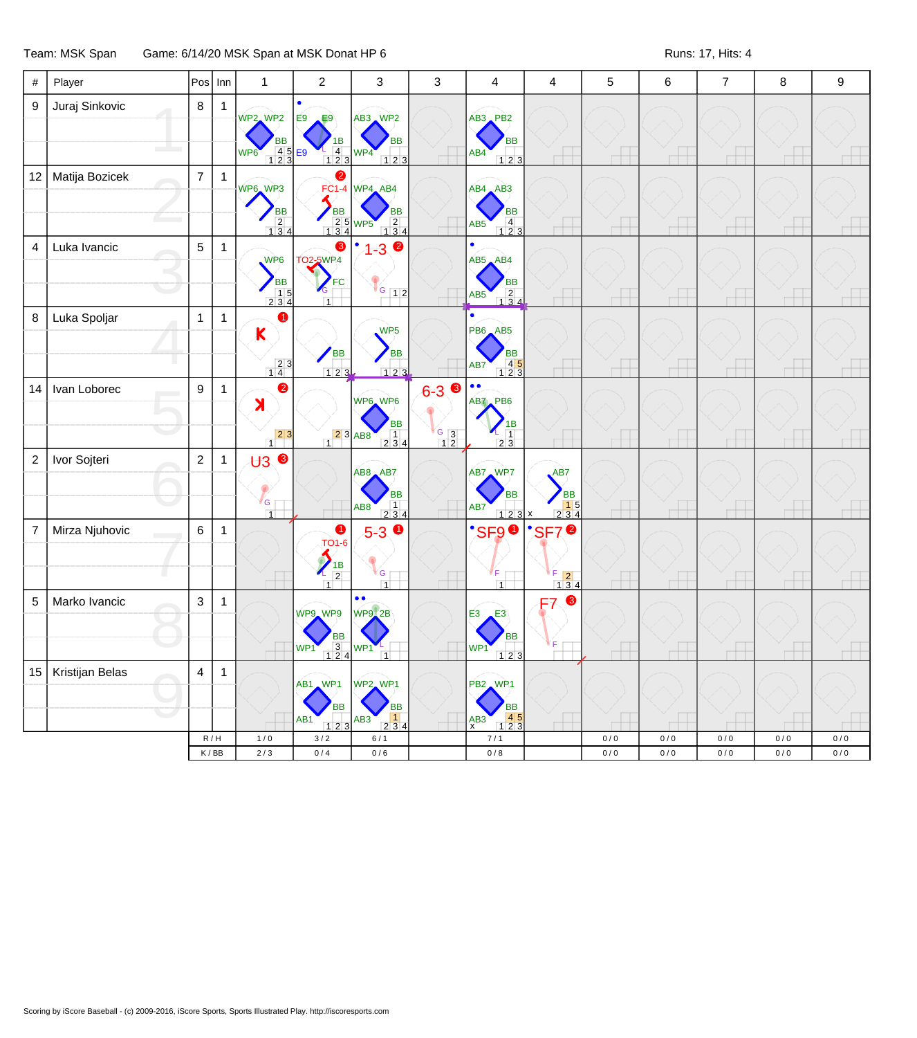## Team: MSK Span Game: 6/14/20 MSK Span at MSK Donat HP 6 Runs: 17, Hits: 4

| 9              | Juraj Sinkovic  | 8              | 1                                           |                                                                                   |                                                                            |                                                                                                       |                           |                                                                                                                                    |                                                                                     |            |              |              |            |              |
|----------------|-----------------|----------------|---------------------------------------------|-----------------------------------------------------------------------------------|----------------------------------------------------------------------------|-------------------------------------------------------------------------------------------------------|---------------------------|------------------------------------------------------------------------------------------------------------------------------------|-------------------------------------------------------------------------------------|------------|--------------|--------------|------------|--------------|
|                |                 |                |                                             | WP2 WP2<br>ВB<br>$\frac{4}{1}$ $\frac{5}{2}$ $\frac{12}{3}$ $\frac{12}{3}$<br>WP6 | $\bullet$<br>E9<br>E9<br>IΒ<br>$\overline{4}$<br>$123$                     | AB3 WP2<br><b>BB</b><br>WP4<br>123                                                                    |                           | AB3 PB2<br><b>BB</b><br>AB4<br>123                                                                                                 |                                                                                     |            |              |              |            |              |
| 12             | Matija Bozicek  | $\overline{7}$ | $\mathbf{1}$                                | WP6 WP3<br><b>BB</b><br>$\begin{array}{c} 2 \\ 134 \end{array}$                   | 2<br><b>BB</b><br>2 5 WP5                                                  | FC1-4 WP4 AB4<br><b>BB</b><br>$\begin{array}{ c c }\n\hline\n2 & 4 \\ \hline\n1 & 3 & 4\n\end{array}$ |                           | $AB4$ $AB3$<br><b>BB</b><br>$\begin{array}{c} 4 \\ 123 \end{array}$<br>AB5                                                         | $\overline{\phantom{a}}$                                                            | $\pm$      |              | $\Box$       |            |              |
| $\overline{4}$ | Luka Ivancic    | $\overline{5}$ | $\mathbf{1}$                                | WP6<br><b>BB</b><br>$\begin{array}{c} 15 \\ 234 \end{array}$                      | 8<br><b>TO2-5WP4</b><br>FC<br>$\mathcal{C}_{\mathsf{G}}$<br>$\overline{1}$ | $\bullet$<br>$-3$<br>$G$ 12                                                                           |                           | $\bullet$<br>AB5 AB4<br><b>BB</b><br>$\begin{array}{ c c c }\n\hline\n&2 & 4 \\ \hline\n1 & 3 & 4\n\end{array}$<br>AB <sub>5</sub> |                                                                                     |            |              |              |            |              |
| 8              | Luka Spoljar    | $\mathbf{1}$   | $\mathbf{1}$                                | ➊<br>$\mathsf K$<br>$\begin{array}{c c} 2 & 3 \\ \hline 1 & 4 \end{array}$        | <b>BB</b><br>$123$                                                         | WP <sub>5</sub><br><b>BB</b><br>$123$                                                                 |                           | <b>PB6</b> AB5<br><b>BB</b><br>$\begin{array}{c} 45 \\ 123 \end{array}$<br>AB7                                                     | $\Box$                                                                              | $^+$       |              | ٣Ħ           |            |              |
| 14             | Ivan Loborec    | 9              | $\mathbf 1$                                 | 2<br>$\lambda$<br>$\begin{array}{c c} & 2 & 3 \\ \hline 1 & & \end{array}$        | $\begin{array}{ c c }\n\hline\n2 & 3 & AB8 \\ \hline\n\end{array}$         | WP6 WP6<br><b>BB</b><br>$\begin{array}{ c c }\n\hline\n1 & 4 \\ \hline\n2 & 3 & 4\n\end{array}$       | $6 - 3$<br>$\frac{6}{12}$ | $\bullet$<br>$\bullet$<br>AB7, PB6<br>1Β<br>$\overline{1}$<br>2 3                                                                  |                                                                                     |            |              |              |            |              |
| $\overline{2}$ | Ivor Sojteri    | $\overline{2}$ | $\mathbf 1$                                 | $\overline{U}$ 3<br>G<br>$\overline{1}$                                           |                                                                            | AB8 AB7<br><b>BB</b><br>$\vert$ 1<br>AB8<br>234                                                       |                           | AB7 WP7<br><b>BB</b><br>AB7<br>123x                                                                                                | AB7<br><b>BB</b><br>$\begin{array}{ c c }\n\hline\n1 & 5 \\ 2 & 3 & 4\n\end{array}$ | $\pm$      |              |              |            |              |
| $\overline{7}$ | Mirza Njuhovic  | $\,6\,$        | $\mathbf{1}$                                |                                                                                   | $\bullet$<br><b>TO1-6</b><br>$\frac{1}{2}$<br>$\overline{1}$               | $\bullet$<br>$5-3$<br>G<br>$\overline{1}$                                                             |                           | <b>SF90</b><br>∛F<br>$\overline{1}$                                                                                                | <b>SF7<sup>0</sup></b><br>$\begin{array}{r} 5 & 2 \\ 1 & 3 & 4 \end{array}$         |            |              |              |            |              |
| 5              | Marko Ivancic   | $\mathbf{3}$   | $\mathbf{1}$                                |                                                                                   | WP9 WP9<br><b>BB</b><br>$WP1 \t 1 \t 2 \t 4$                               | $\bullet$<br><b>WP9</b> 2B<br>WP1 <sup>L</sup><br>$\overline{1}$                                      |                           | EЗ<br>E3<br><b>BB</b><br>WP1<br>123                                                                                                | $\bullet$<br>F7                                                                     |            |              |              |            |              |
| 15             | Kristijan Belas | $\overline{4}$ | $\mathbf{1}$                                |                                                                                   | AB1 WP1<br><b>BB</b><br>AB1<br>123                                         | WP2 WP1<br><b>BB</b><br>$\vert$ 1<br>AB3<br>234                                                       |                           | PB2 WP1<br><b>BB</b><br>$\begin{array}{c} 45 \\ 123 \end{array}$<br>AB3<br>х                                                       |                                                                                     |            |              |              |            |              |
|                |                 |                | R/H<br>$\mathsf K\,/\,\mathsf{B}\mathsf{B}$ | 1/0<br>$2/3$                                                                      | $3/2$<br>$0\,/\,4$                                                         | 6/1<br>$0/6$                                                                                          |                           | 7/1<br>$0\,/\,8$                                                                                                                   |                                                                                     | 0/0<br>0/0 | 0/0<br>$0/0$ | 0/0<br>$0/0$ | 0/0<br>0/0 | 0/0<br>$0/0$ |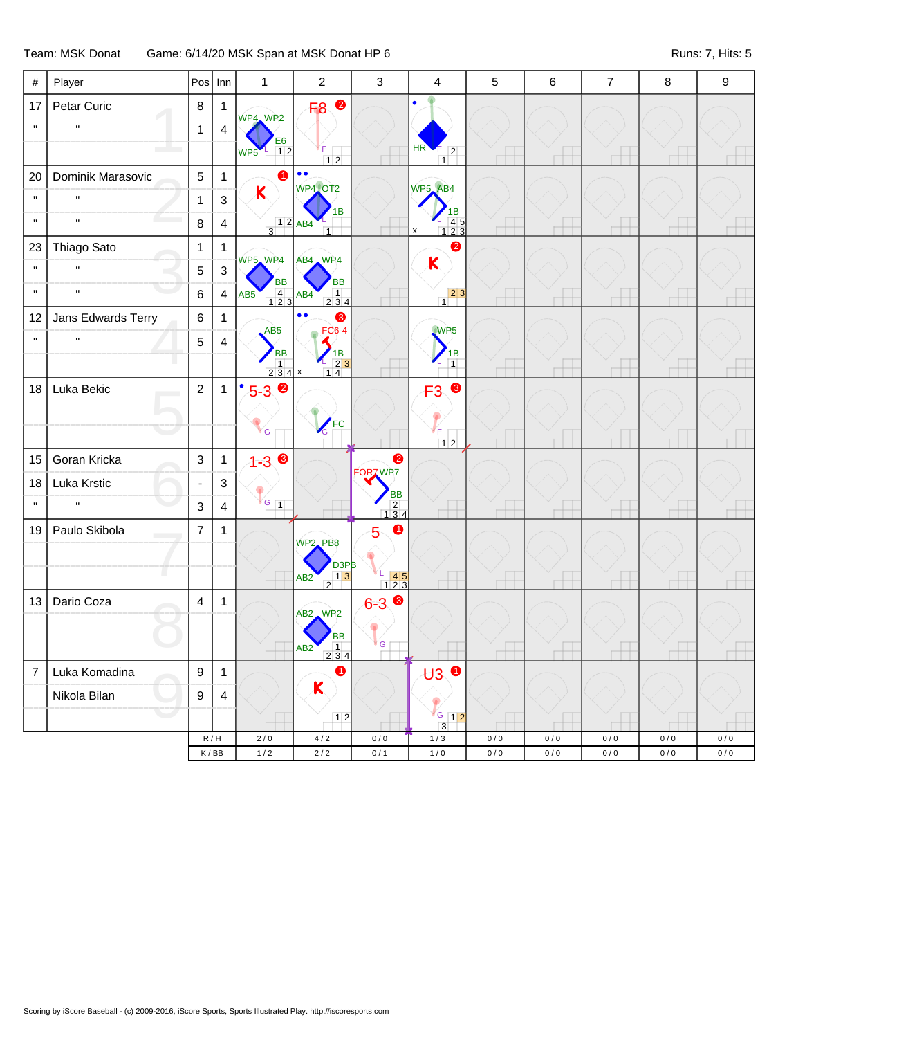Team: MSK Donat Game: 6/14/20 MSK Span at MSK Donat HP 6 Runs: 7, Hits: 5

| $\#$           | Player             | Pos                      | Inn                                                               | $\mathbf{1}$                                                       | $\mathbf 2$                                    | $\mathfrak{Z}$                                          | $\overline{4}$                                                             | 5                  | 6                  | $\overline{7}$ | 8                  | 9                  |
|----------------|--------------------|--------------------------|-------------------------------------------------------------------|--------------------------------------------------------------------|------------------------------------------------|---------------------------------------------------------|----------------------------------------------------------------------------|--------------------|--------------------|----------------|--------------------|--------------------|
| 17             | Petar Curic        | $\bf 8$                  | $\mathbf{1}$                                                      | WP4, WP2                                                           | $\bullet$<br>F <sub>8</sub>                    |                                                         |                                                                            |                    |                    |                |                    |                    |
| $\mathbf{H}$   | 'n,                | $\mathbf{1}$             | $\overline{4}$                                                    |                                                                    |                                                |                                                         |                                                                            |                    |                    |                |                    |                    |
|                |                    |                          |                                                                   | E6<br>12<br>WP <sub>5</sub>                                        | F<br>$12$                                      |                                                         | HR<br>$\overline{2}$<br>$\overline{1}$                                     |                    |                    |                |                    |                    |
| 20             | Dominik Marasovic  | $\overline{5}$           | $\overline{1}$                                                    | $\bullet$                                                          | $\bullet$<br>WP4 OT2                           |                                                         | WP5_AB4                                                                    |                    |                    |                |                    |                    |
| $\mathbf{H}$   | $\mathbf{u}$       | $\mathbf{1}$             | $\ensuremath{\mathsf{3}}$                                         | $\mathsf K$                                                        | 1B                                             |                                                         | ΙB                                                                         |                    |                    |                |                    |                    |
| $\mathbf{H}$   | $\mathbf{u}$       | 8                        | $\overline{4}$                                                    | $\begin{array}{ c c }\n\hline\n1 & 2 & AB4 \\ \hline\n\end{array}$ | $\overline{1}$                                 |                                                         | $\begin{array}{c}\n 45 \\  123\n \end{array}$<br>X                         |                    |                    |                |                    |                    |
| 23             | Thiago Sato        | $\mathbf{1}$             | $\mathbf{1}$                                                      | WP5, WP4                                                           | AB4 WP4                                        |                                                         | 2                                                                          |                    |                    |                |                    |                    |
| $\mathbf H$    | $\mathbf{u}$       | 5                        | $\sqrt{3}$                                                        | <b>BB</b>                                                          | <b>BB</b>                                      |                                                         | K                                                                          |                    |                    |                |                    |                    |
| $\mathbf{H}$   | $\mathbf{u}$       | 6                        | $\overline{4}$                                                    | $\begin{array}{c}\n4 \\ 123\n\end{array}$<br>AB <sub>5</sub>       | 1<br>AB4<br>234                                |                                                         | $\begin{array}{c c} 2 & 3 \end{array}$                                     |                    |                    |                |                    |                    |
| 12             | Jans Edwards Terry | $\,6$                    | $\mathbf{1}$                                                      |                                                                    | $\bullet \bullet$<br>❸                         |                                                         |                                                                            |                    |                    |                |                    |                    |
| $\mathbf{H}$   | $\mathbf{u}$       | 5                        | 4                                                                 | AB <sub>5</sub><br><b>BB</b>                                       | <b>FC6-4</b><br>1B                             |                                                         | WPS<br>1B                                                                  |                    |                    |                |                    |                    |
|                |                    |                          |                                                                   | $\begin{array}{ c c c c }\n\hline\n1 & 2 & 3 & 4 & x\n\end{array}$ | $\frac{-23}{14}$                               |                                                         | $\overline{1}$                                                             |                    |                    |                |                    |                    |
| 18             | Luka Bekic         | $\overline{2}$           | $\mathbf{1}$                                                      | $\bullet$<br>$5 - 3$ $\circ$                                       |                                                |                                                         | 8<br>F <sub>3</sub>                                                        |                    |                    |                |                    |                    |
|                |                    |                          |                                                                   |                                                                    | <b>FC</b>                                      |                                                         |                                                                            |                    |                    |                |                    |                    |
|                |                    |                          |                                                                   | G                                                                  | $\mathcal{L}_{\text{G}}$                       |                                                         | ΙF.<br>$12$                                                                |                    |                    |                |                    |                    |
| 15             | Goran Kricka       | $\mathbf{3}$             | $\mathbf{1}$                                                      | $1 - 3$                                                            |                                                | $\bullet$<br>FORZ WP7                                   |                                                                            |                    |                    |                |                    |                    |
| 18             | Luka Krstic        | $\overline{\phantom{a}}$ | 3                                                                 |                                                                    |                                                | <b>BB</b>                                               |                                                                            |                    |                    |                |                    |                    |
| $\mathbf H$    |                    | 3                        | $\overline{4}$                                                    | $\mathbf{G}$ 1                                                     |                                                | $\begin{array}{c} 2 \\ 1 \ 3 \ 4 \end{array}$           |                                                                            |                    |                    |                |                    |                    |
| 19             | Paulo Skibola      | $\overline{7}$           | $\mathbf{1}$                                                      |                                                                    | WP2_PB8                                        | 0<br>5                                                  |                                                                            |                    |                    |                |                    |                    |
|                |                    |                          |                                                                   |                                                                    | D <sub>3P</sub> B                              |                                                         |                                                                            |                    |                    |                |                    |                    |
|                |                    |                          |                                                                   |                                                                    | $\frac{1}{2}$ <sup>31</sup><br>AB <sub>2</sub> | $\begin{array}{ c c }\n\hline\n-45 \\ 123\n\end{array}$ |                                                                            |                    |                    |                |                    |                    |
| 13             | Dario Coza         | $\overline{\mathbf{4}}$  | $\mathbf{1}$                                                      |                                                                    | AB2 WP2                                        | $6 - 39$                                                |                                                                            |                    |                    |                |                    |                    |
|                |                    |                          |                                                                   |                                                                    | <b>BB</b>                                      |                                                         |                                                                            |                    |                    |                |                    |                    |
|                |                    |                          |                                                                   |                                                                    | 1<br>AB <sub>2</sub><br>$234$                  | G                                                       |                                                                            |                    |                    |                |                    |                    |
| $\overline{7}$ | Luka Komadina      | $\boldsymbol{9}$         | $\overline{1}$                                                    |                                                                    | $\bullet$                                      |                                                         | $\mathbf{H}$ $\mathbf{0}$                                                  |                    |                    |                |                    |                    |
|                | Nikola Bilan       | $\boldsymbol{9}$         | $\overline{4}$                                                    |                                                                    | K                                              |                                                         |                                                                            |                    |                    |                |                    |                    |
|                |                    |                          |                                                                   |                                                                    | 12                                             |                                                         | $\begin{array}{ c c c c c }\n\hline\n & 12\n\end{array}$<br>$\overline{3}$ |                    |                    |                |                    |                    |
|                |                    |                          | $\mathsf R\,/\,\mathsf H$<br>$\mathsf K\,/\,\mathsf{B}\mathsf{B}$ | $2/0$<br>$1/2$                                                     | $4/2$<br>$2\,/\,2$                             | $0\,/\,0$<br>0/1                                        | $1/3$<br>$1/0$                                                             | $0/0$<br>$0\,/\,0$ | $0\,/\,0$<br>$0/0$ | $0/0$<br>$0/0$ | $0/0$<br>$0\,/\,0$ | $0/0$<br>$0\,/\,0$ |